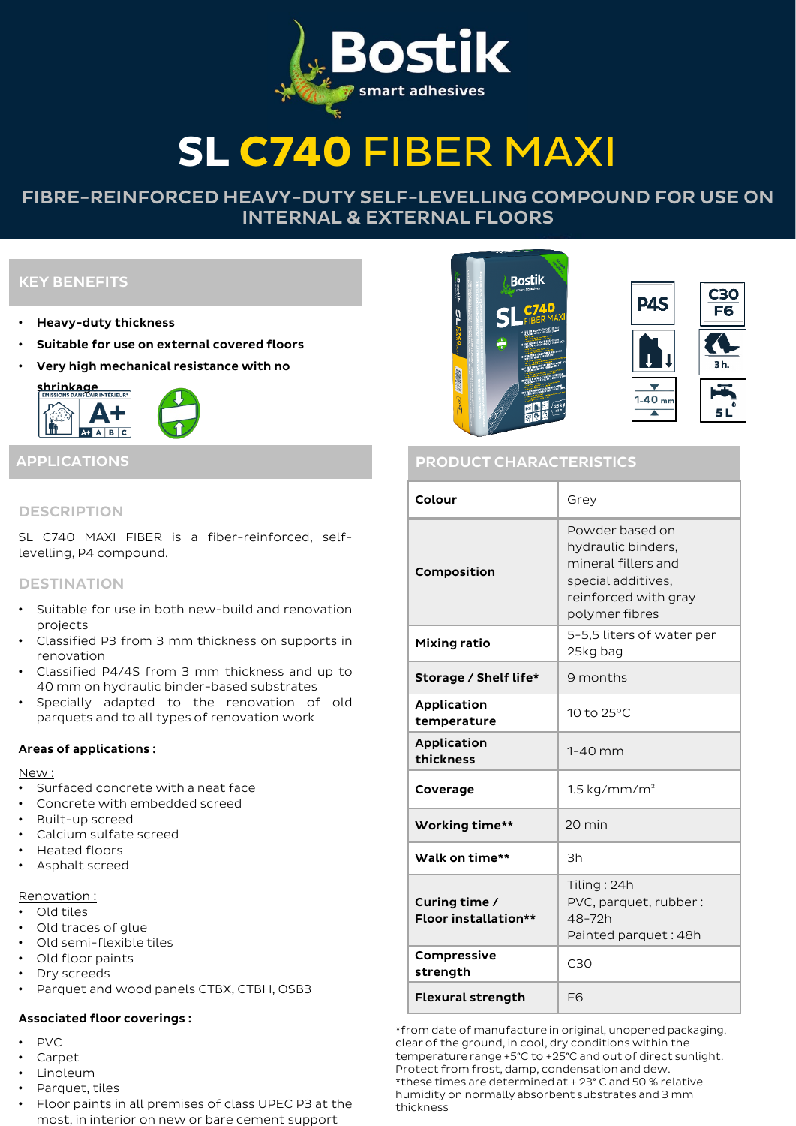# **SL C740** FIBER MAXI

# FIBRE-REINFORCED HEAVY-DUTY SELF-LEVELLING COMPOUND FOR USE ON INTERNAL & EXTERNAL FLOORS

# KEY BENEFITS

- Heavy-duty thickness
- Suitable for use on external covered floors
- Very high mechanical resistance with no



# **DESCRIPTION**

SL C740 MAXI FIBER is a fiber-reinforced, selflevelling, P4 compound.

# **DESTINATION**

- Suitable for use in both new-build and renovation projects
- Classified P3 from 3 mm thickness on supports in renovation
- Classified P4/4S from 3 mm thickness and up to 40 mm on hydraulic binder-based substrates
- Specially adapted to the renovation of old parquets and to all types of renovation work

# Areas of applications :

#### New :

- Surfaced concrete with a neat face
- Concrete with embedded screed
- Built-up screed
- Calcium sulfate screed
- Heated floors
- Asphalt screed

Renovation :

- Old tiles
- Old traces of glue
- Old semi-flexible tiles
- Old floor paints
- Dry screeds
- Parquet and wood panels CTBX, CTBH, OSB3

#### Associated floor coverings :

- PVC
- Carpet
- Linoleum
- Parquet, tiles
- Floor paints in all premises of class UPEC P3 at the most, in interior on new or bare cement support



| Colour                                       | Grey                                                                                                                         |  |  |
|----------------------------------------------|------------------------------------------------------------------------------------------------------------------------------|--|--|
| Composition                                  | Powder based on<br>hydraulic binders.<br>mineral fillers and<br>special additives,<br>reinforced with gray<br>polymer fibres |  |  |
| Mixing ratio                                 | 5-5,5 liters of water per<br>25kg bag                                                                                        |  |  |
| Storage / Shelf life*                        | 9 months                                                                                                                     |  |  |
| Application<br>temperature                   | 10 to 25°C                                                                                                                   |  |  |
| Application<br>thickness                     | $1-40$ mm                                                                                                                    |  |  |
| Coverage                                     | $1.5$ kg/mm/m <sup>2</sup>                                                                                                   |  |  |
| Working time**                               | 20 min                                                                                                                       |  |  |
| Walk on time**                               | 3h                                                                                                                           |  |  |
| Curing time /<br><b>Floor installation**</b> | Tiling: 24h<br>PVC, parquet, rubber:<br>48-72h<br>Painted parquet: 48h                                                       |  |  |
| Compressive<br>strength                      | C30                                                                                                                          |  |  |
| <b>Flexural strength</b>                     | F <sub>6</sub>                                                                                                               |  |  |

\*from date of manufacture in original, unopened packaging, clear of the ground, in cool, dry conditions within the temperature range +5°C to +25°C and out of direct sunlight. Protect from frost, damp, condensation and dew. \*these times are determined at + 23° C and 50 % relative humidity on normally absorbent substrates and 3 mm thickness

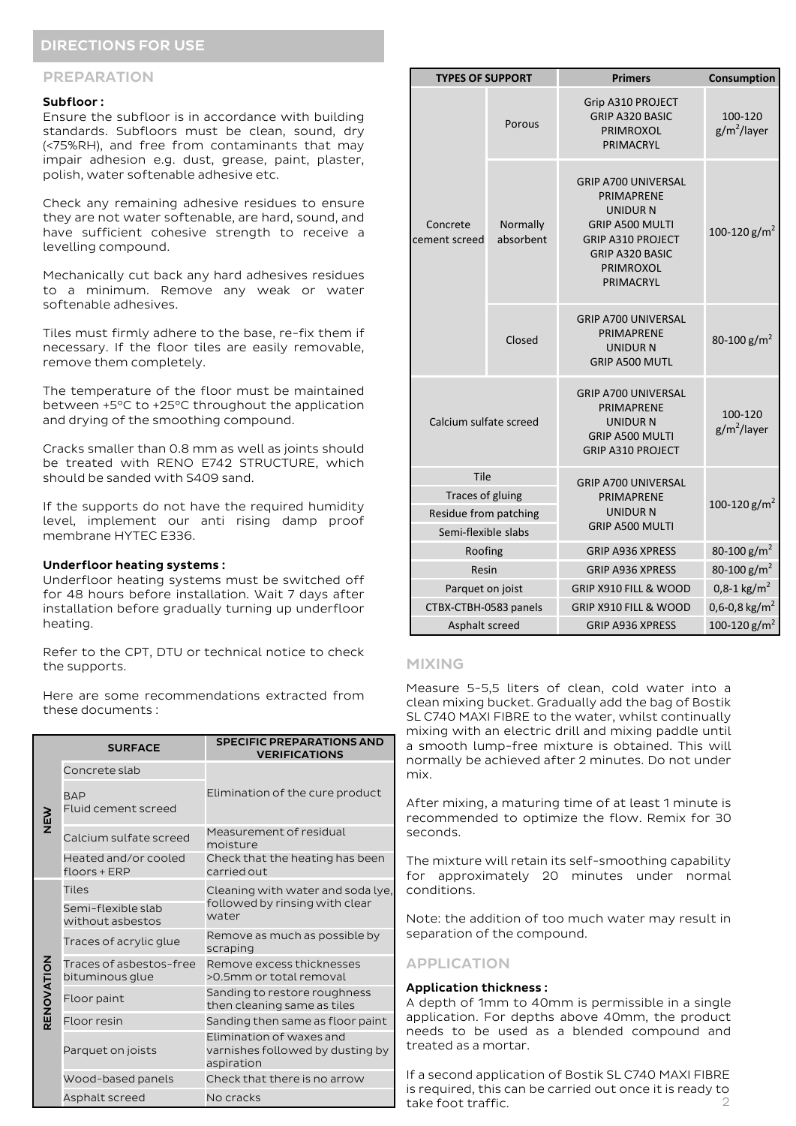# DIRECTIONS FOR USE

#### PREPARATION

#### Subfloor :

Ensure the subfloor is in accordance with building standards. Subfloors must be clean, sound, dry (<75%RH), and free from contaminants that may impair adhesion e.g. dust, grease, paint, plaster, polish, water softenable adhesive etc.

Check any remaining adhesive residues to ensure they are not water softenable, are hard, sound, and have sufficient cohesive strength to receive a levelling compound.

Mechanically cut back any hard adhesives residues to a minimum. Remove any weak or water softenable adhesives.

Tiles must firmly adhere to the base, re-fix them if necessary. If the floor tiles are easily removable, remove them completely.

The temperature of the floor must be maintained between +5°C to +25°C throughout the application and drying of the smoothing compound.

Cracks smaller than 0.8 mm as well as joints should be treated with RENO E742 STRUCTURE, which should be sanded with S409 sand.

If the supports do not have the required humidity level, implement our anti rising damp proof membrane HYTEC E336.

#### Underfloor heating systems :

Underfloor heating systems must be switched off for 48 hours before installation. Wait 7 days after installation before gradually turning up underfloor heating.

Refer to the CPT, DTU or technical notice to check the supports.

Here are some recommendations extracted from these documents :

|            | <b>SURFACE</b>                             | <b>SPECIFIC PREPARATIONS AND</b><br><b>VERIFICATIONS</b>                     |  |
|------------|--------------------------------------------|------------------------------------------------------------------------------|--|
| NEW        | Concrete slab                              | Elimination of the cure product                                              |  |
|            | <b>BAP</b><br>Fluid cement screed          |                                                                              |  |
|            | Calcium sulfate screed                     | Measurement of residual<br>moisture                                          |  |
|            | Heated and/or cooled<br>floors + ERP       | Check that the heating has been<br>carried out.                              |  |
| RENOVATION | <b>Tiles</b>                               | Cleaning with water and soda lye,<br>followed by rinsing with clear<br>water |  |
|            | Semi-flexible slab<br>without asbestos     |                                                                              |  |
|            | Traces of acrylic glue                     | Remove as much as possible by<br>scraping                                    |  |
|            | Traces of asbestos-free<br>bituminous glue | Remove excess thicknesses<br>>0.5mm or total removal                         |  |
|            | Floor paint                                | Sanding to restore roughness<br>then cleaning same as tiles                  |  |
|            | Floor resin                                | Sanding then same as floor paint                                             |  |
|            | Parquet on joists                          | Elimination of waxes and<br>varnishes followed by dusting by<br>aspiration   |  |
|            | Wood-based panels                          | Check that there is no arrow                                                 |  |
|            | Asphalt screed                             | No cracks                                                                    |  |

| <b>TYPES OF SUPPORT</b>                           |                       | <b>Primers</b>                                                                                                                                                 | Consumption                        |
|---------------------------------------------------|-----------------------|----------------------------------------------------------------------------------------------------------------------------------------------------------------|------------------------------------|
|                                                   | Porous                | Grip A310 PROJECT<br><b>GRIP A320 BASIC</b><br><b>PRIMROXOL</b><br>PRIMACRYL                                                                                   | 100-120<br>$g/m^2$ /layer          |
| Concrete<br>cement screed                         | Normally<br>absorbent | <b>GRIP A700 UNIVERSAL</b><br>PRIMAPRENE<br>UNIDUR N<br><b>GRIP A500 MULTI</b><br><b>GRIP A310 PROJECT</b><br><b>GRIP A320 BASIC</b><br>PRIMROXOL<br>PRIMACRYL | 100-120 g/m <sup>2</sup>           |
|                                                   | Closed                | <b>GRIP A700 UNIVERSAL</b><br><b>PRIMAPRENE</b><br><b>UNIDUR N</b><br><b>GRIP A500 MUTL</b>                                                                    | 80-100 g/m <sup>2</sup>            |
| Calcium sulfate screed                            |                       | <b>GRIP A700 UNIVERSAL</b><br><b>PRIMAPRENE</b><br>UNIDUR N<br><b>GRIP A500 MULTI</b><br>GRIP A310 PROJECT                                                     | 100-120<br>g/m <sup>2</sup> /layer |
| Tile<br>Traces of gluing<br>Residue from patching |                       | GRIP A700 UNIVERSAL                                                                                                                                            | 100-120 $g/m^2$                    |
|                                                   |                       | PRIMAPRENE<br>UNIDUR N                                                                                                                                         |                                    |
| Semi-flexible slabs                               |                       | <b>GRIP A500 MULTI</b>                                                                                                                                         |                                    |
| Roofing                                           |                       | <b>GRIP A936 XPRESS</b>                                                                                                                                        | 80-100 g/m <sup>2</sup>            |
| Resin                                             |                       | <b>GRIP A936 XPRESS</b>                                                                                                                                        | 80-100 g/m <sup>2</sup>            |
| Parquet on joist                                  |                       | GRIP X910 FILL & WOOD                                                                                                                                          | $0,8-1$ kg/m <sup>2</sup>          |
| CTBX-CTBH-0583 panels                             |                       | <b>GRIP X910 FILL &amp; WOOD</b>                                                                                                                               | 0,6-0,8 kg/m <sup>2</sup>          |
| Asphalt screed                                    |                       | <b>GRIP A936 XPRESS</b>                                                                                                                                        | 100-120 g/m <sup>2</sup>           |

#### MIXING

Measure 5-5,5 liters of clean, cold water into a clean mixing bucket. Gradually add the bag of Bostik SL C740 MAXI FIBRE to the water, whilst continually mixing with an electric drill and mixing paddle until a smooth lump-free mixture is obtained. This will normally be achieved after 2 minutes. Do not under mix.

After mixing, a maturing time of at least 1 minute is recommended to optimize the flow. Remix for 30 seconds.

The mixture will retain its self-smoothing capability for approximately 20 minutes under normal conditions.

Note: the addition of too much water may result in separation of the compound.

#### APPLICATION

#### Application thickness :

A depth of 1mm to 40mm is permissible in a single application. For depths above 40mm, the product needs to be used as a blended compound and treated as a mortar.

 $\mathcal{O}$ If a second application of Bostik SL C740 MAXI FIBRE is required, this can be carried out once it is ready to take foot traffic.